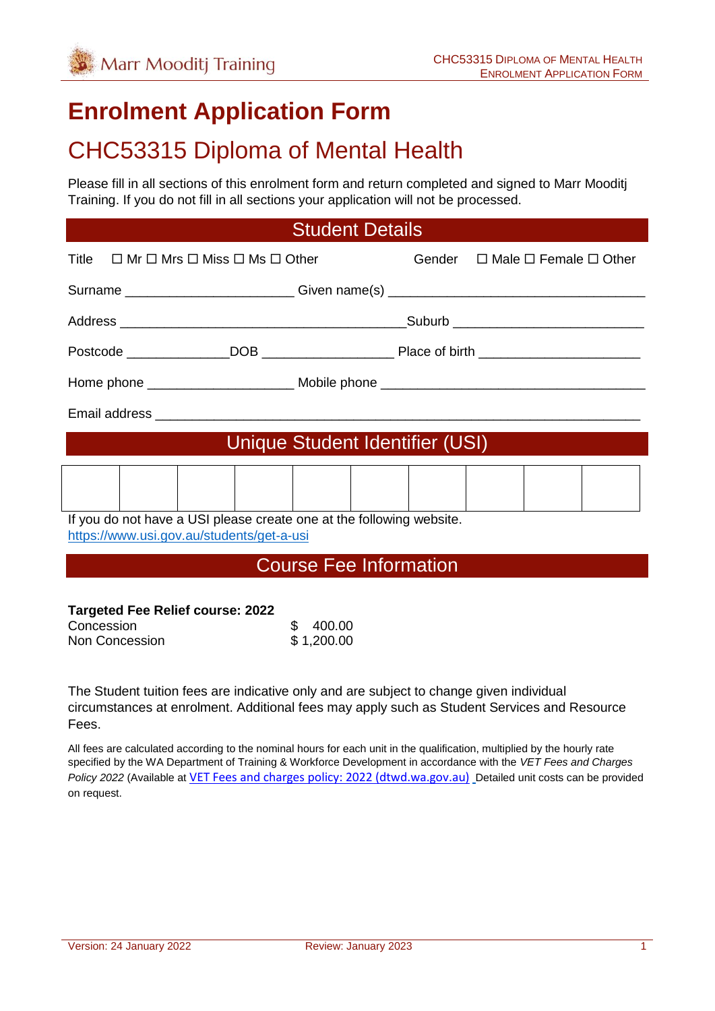# **Enrolment Application Form**

# CHC53315 Diploma of Mental Health

Please fill in all sections of this enrolment form and return completed and signed to Marr Mooditj Training. If you do not fill in all sections your application will not be processed.

## Student Details

|                                                                                                                   | Title $\Box$ Mr $\Box$ Mrs $\Box$ Miss $\Box$ Ms $\Box$ Other |  |  |  |  | Gender $\Box$ Male $\Box$ Female $\Box$ Other |  |  |
|-------------------------------------------------------------------------------------------------------------------|---------------------------------------------------------------|--|--|--|--|-----------------------------------------------|--|--|
| Surname ______________________________Given name(s) ____________________________                                  |                                                               |  |  |  |  |                                               |  |  |
|                                                                                                                   |                                                               |  |  |  |  |                                               |  |  |
|                                                                                                                   |                                                               |  |  |  |  |                                               |  |  |
|                                                                                                                   |                                                               |  |  |  |  |                                               |  |  |
|                                                                                                                   |                                                               |  |  |  |  |                                               |  |  |
| Unique Student Identifier (USI)                                                                                   |                                                               |  |  |  |  |                                               |  |  |
|                                                                                                                   |                                                               |  |  |  |  |                                               |  |  |
| If you do not have a USI please create one at the following website.<br>https://www.usi.gov.au/students/get-a-usi |                                                               |  |  |  |  |                                               |  |  |

### Course Fee Information

#### **Targeted Fee Relief course: 2022**

| Concession     | 400.00     |
|----------------|------------|
| Non Concession | \$1,200.00 |

The Student tuition fees are indicative only and are subject to change given individual circumstances at enrolment. Additional fees may apply such as Student Services and Resource Fees.

All fees are calculated according to the nominal hours for each unit in the qualification, multiplied by the hourly rate specified by the WA Department of Training & Workforce Development in accordance with the *VET Fees and Charges Policy 2022* (Available at [VET Fees and charges policy: 2022 \(dtwd.wa.gov.au\)](https://www.dtwd.wa.gov.au/sites/default/files/uploads/dtwd-vet-fees-and-charges-2022-v1.0.pdf) Detailed unit costs can be provided on request.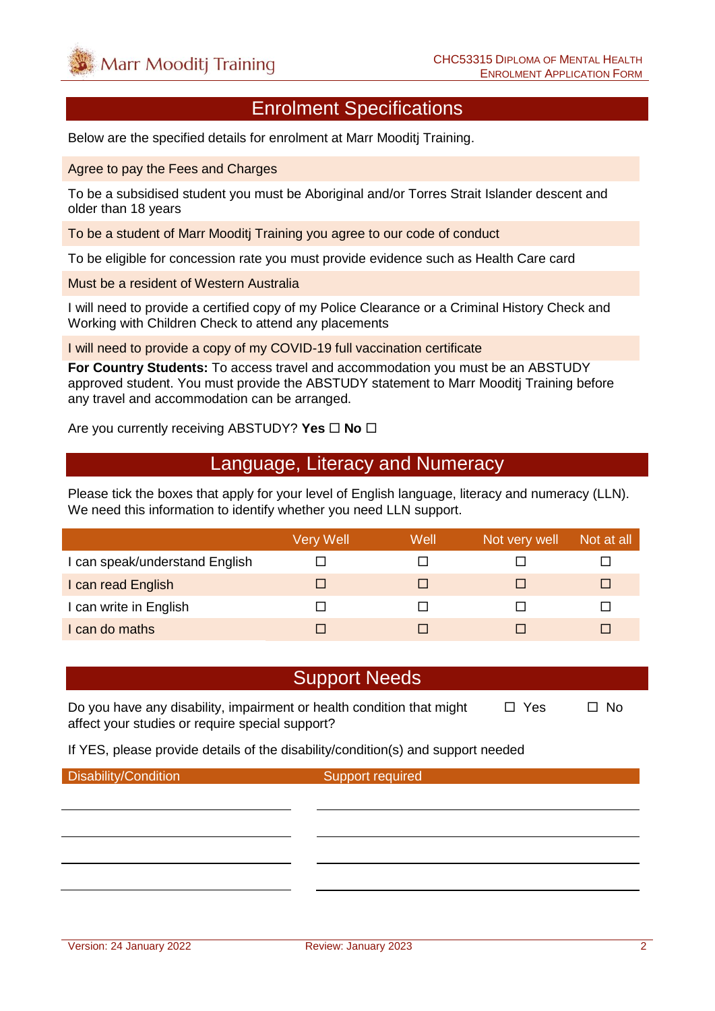## Enrolment Specifications

Below are the specified details for enrolment at Marr Mooditj Training.

Agree to pay the Fees and Charges

To be a subsidised student you must be Aboriginal and/or Torres Strait Islander descent and older than 18 years

To be a student of Marr Mooditj Training you agree to our code of conduct

To be eligible for concession rate you must provide evidence such as Health Care card

Must be a resident of Western Australia

I will need to provide a certified copy of my Police Clearance or a Criminal History Check and Working with Children Check to attend any placements

I will need to provide a copy of my COVID-19 full vaccination certificate

**For Country Students:** To access travel and accommodation you must be an ABSTUDY approved student. You must provide the ABSTUDY statement to Marr Mooditj Training before any travel and accommodation can be arranged.

Are you currently receiving ABSTUDY? Yes  $\Box$  No  $\Box$ 

### Language, Literacy and Numeracy

Please tick the boxes that apply for your level of English language, literacy and numeracy (LLN). We need this information to identify whether you need LLN support.

|                                | Very Well | Well | Not very well | Not at all |
|--------------------------------|-----------|------|---------------|------------|
| I can speak/understand English |           |      |               |            |
| I can read English             |           |      |               | ш          |
| I can write in English         |           |      |               |            |
| I can do maths                 |           |      |               |            |

### Support Needs

Do you have any disability, impairment or health condition that might  $\Box$  Yes  $\Box$  No affect your studies or require special support?

If YES, please provide details of the disability/condition(s) and support needed

Disability/Condition Support required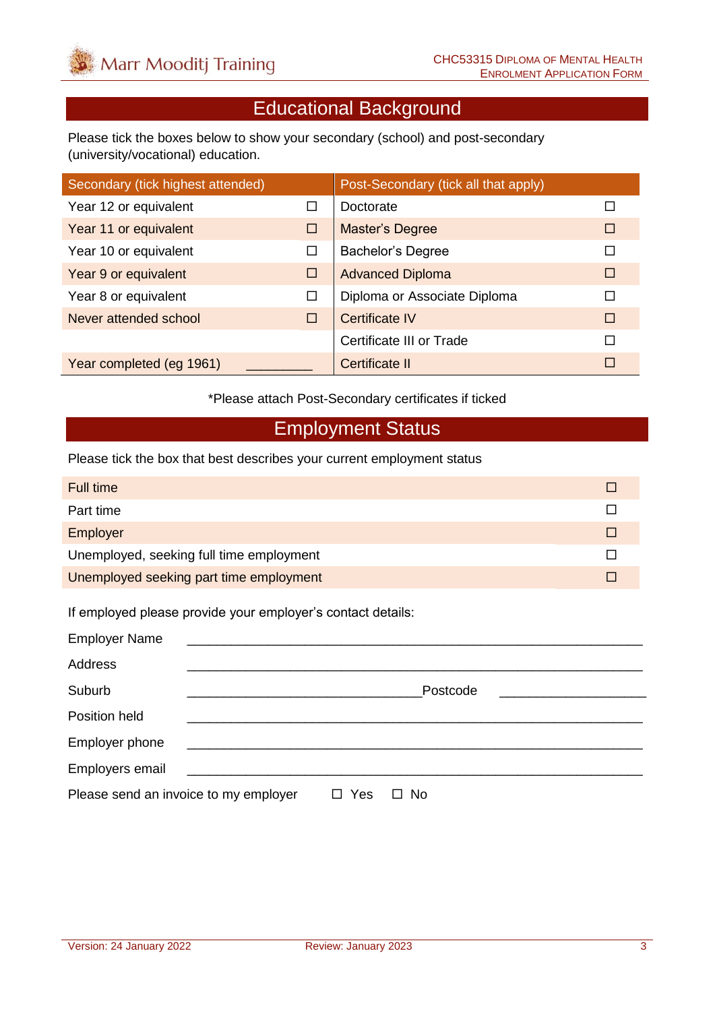# Educational Background

Please tick the boxes below to show your secondary (school) and post-secondary (university/vocational) education.

| Secondary (tick highest attended) |        | Post-Secondary (tick all that apply) |   |
|-----------------------------------|--------|--------------------------------------|---|
| Year 12 or equivalent             |        | Doctorate                            |   |
| Year 11 or equivalent             | □      | <b>Master's Degree</b>               | П |
| Year 10 or equivalent             | □      | <b>Bachelor's Degree</b>             |   |
| Year 9 or equivalent              | □      | <b>Advanced Diploma</b>              | □ |
| Year 8 or equivalent              | □      | Diploma or Associate Diploma         | П |
| Never attended school             | $\Box$ | <b>Certificate IV</b>                | П |
|                                   |        | Certificate III or Trade             | П |
| Year completed (eg 1961)          |        | Certificate II                       | П |

\*Please attach Post-Secondary certificates if ticked

## Employment Status

Please tick the box that best describes your current employment status

| Full time                                |  |
|------------------------------------------|--|
| Part time                                |  |
| Employer                                 |  |
| Unemployed, seeking full time employment |  |
| Unemployed seeking part time employment  |  |

If employed please provide your employer's contact details:

| <b>Employer Name</b>                  |                                                                                                                                                                                                                                      |     |           |  |
|---------------------------------------|--------------------------------------------------------------------------------------------------------------------------------------------------------------------------------------------------------------------------------------|-----|-----------|--|
| Address                               |                                                                                                                                                                                                                                      |     |           |  |
| Suburb                                |                                                                                                                                                                                                                                      |     | Postcode  |  |
| Position held                         |                                                                                                                                                                                                                                      |     |           |  |
| Employer phone                        | <u> 1980 - Andrea Andrews, amerikansk politik (</u>                                                                                                                                                                                  |     |           |  |
| Employers email                       | <u> 1980 - Jan Samuel Barbara, margaret e populazion del control de la propia del control de la propia del control de la propia del control de la propia del control de la propia del control de la propia del control de la pro</u> |     |           |  |
| Please send an invoice to my employer |                                                                                                                                                                                                                                      | Yes | <b>No</b> |  |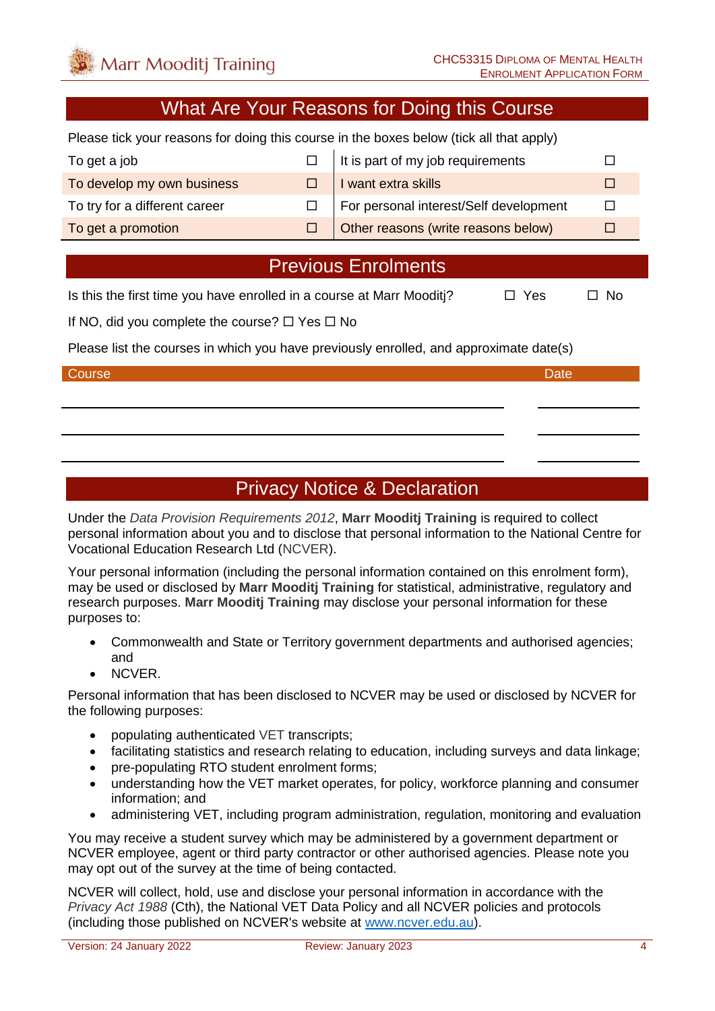# What Are Your Reasons for Doing this Course

Please tick your reasons for doing this course in the boxes below (tick all that apply)

| To get a job                  | It is part of my job requirements      |  |
|-------------------------------|----------------------------------------|--|
| To develop my own business    | I want extra skills                    |  |
| To try for a different career | For personal interest/Self development |  |
| To get a promotion            | Other reasons (write reasons below)    |  |

# Previous Enrolments

Is this the first time you have enrolled in a course at Marr Mooditi?  $\Box$  Yes  $\Box$  No

If NO, did you complete the course?  $\Box$  Yes  $\Box$  No

Please list the courses in which you have previously enrolled, and approximate date(s)

#### Course **Date** Date of the Course of the Course of the Course of the Course of the Date

# Privacy Notice & Declaration

Under the *Data Provision Requirements 2012*, **Marr Mooditj Training** is required to collect personal information about you and to disclose that personal information to the National Centre for Vocational Education Research Ltd (NCVER).

Your personal information (including the personal information contained on this enrolment form), may be used or disclosed by **Marr Mooditj Training** for statistical, administrative, regulatory and research purposes. **Marr Mooditj Training** may disclose your personal information for these purposes to:

- Commonwealth and State or Territory government departments and authorised agencies; and
- NCVER.

Personal information that has been disclosed to NCVER may be used or disclosed by NCVER for the following purposes:

- populating authenticated VET transcripts;
- facilitating statistics and research relating to education, including surveys and data linkage;
- pre-populating RTO student enrolment forms:
- understanding how the VET market operates, for policy, workforce planning and consumer information; and
- administering VET, including program administration, regulation, monitoring and evaluation

You may receive a student survey which may be administered by a government department or NCVER employee, agent or third party contractor or other authorised agencies. Please note you may opt out of the survey at the time of being contacted.

NCVER will collect, hold, use and disclose your personal information in accordance with the *Privacy Act 1988* (Cth), the National VET Data Policy and all NCVER policies and protocols (including those published on NCVER's website at [www.ncver.edu.au\)](http://www.ncver.edu.au/).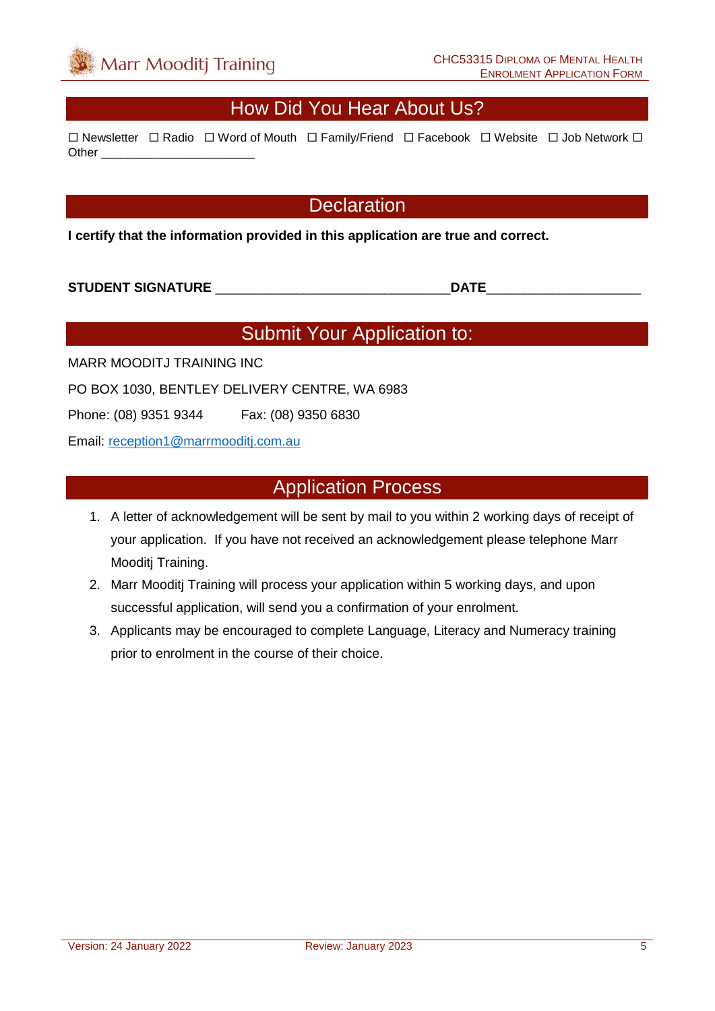# How Did You Hear About Us?

 $\Box$  Newsletter  $\Box$  Radio  $\Box$  Word of Mouth  $\Box$  Family/Friend  $\Box$  Facebook  $\Box$  Website  $\Box$  Job Network  $\Box$ Other **Lating** 

### **Declaration**

**I certify that the information provided in this application are true and correct.**

#### **STUDENT SIGNATURE** \_\_\_\_\_\_\_\_\_\_\_\_\_\_\_\_\_\_\_\_\_\_\_\_\_\_\_\_\_\_\_\_**DATE**\_\_\_\_\_\_\_\_\_\_\_\_\_\_\_\_\_\_\_\_\_

# Submit Your Application to:

MARR MOODITJ TRAINING INC

PO BOX 1030, BENTLEY DELIVERY CENTRE, WA 6983

Phone: (08) 9351 9344 Fax: (08) 9350 6830

Email: [reception1@marrmooditj.com.au](mailto:reception1@marrmooditj.com.au)

## Application Process

- 1. A letter of acknowledgement will be sent by mail to you within 2 working days of receipt of your application. If you have not received an acknowledgement please telephone Marr Mooditj Training.
- 2. Marr Mooditj Training will process your application within 5 working days, and upon successful application, will send you a confirmation of your enrolment.
- 3. Applicants may be encouraged to complete Language, Literacy and Numeracy training prior to enrolment in the course of their choice.